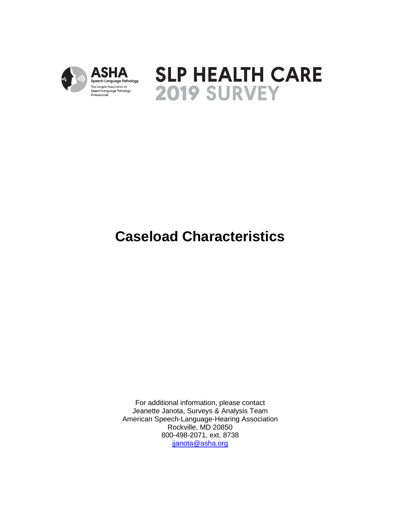



# **Caseload Characteristics**

For additional information, please contact Jeanette Janota, Surveys & Analysis Team American Speech-Language-Hearing Association Rockville, MD 20850 800-498-2071, ext. 8738 [jjanota@asha.org](mailto:jjanota@asha.org)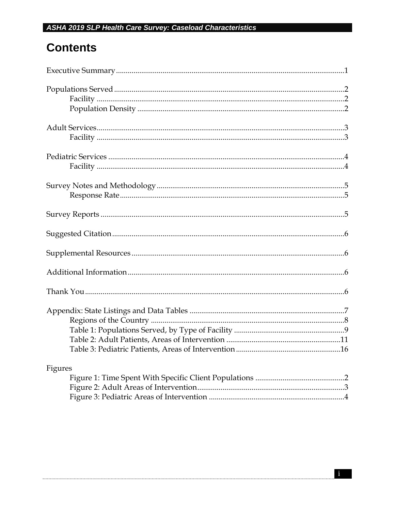### **Contents**

| Figures |
|---------|
|         |
|         |
|         |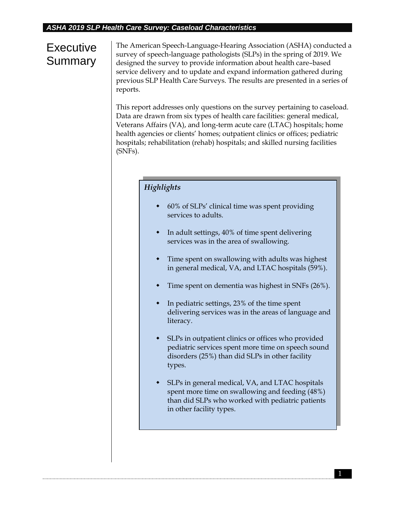## **Executive Summary**

The American Speech-Language-Hearing Association (ASHA) conducted a survey of speech-language pathologists (SLPs) in the spring of 2019. We designed the survey to provide information about health care–based service delivery and to update and expand information gathered during previous SLP Health Care Surveys. The results are presented in a series of reports.

This report addresses only questions on the survey pertaining to caseload. Data are drawn from six types of health care facilities: general medical, Veterans Affairs (VA), and long-term acute care (LTAC) hospitals; home health agencies or clients' homes; outpatient clinics or offices; pediatric hospitals; rehabilitation (rehab) hospitals; and skilled nursing facilities (SNFs).

#### *Highlights*

- 60% of SLPs' clinical time was spent providing services to adults.
- In adult settings, 40% of time spent delivering services was in the area of swallowing.
- Time spent on swallowing with adults was highest in general medical, VA, and LTAC hospitals (59%).
- Time spent on dementia was highest in SNFs (26%).
- In pediatric settings, 23% of the time spent delivering services was in the areas of language and literacy.
- SLPs in outpatient clinics or offices who provided pediatric services spent more time on speech sound disorders (25%) than did SLPs in other facility types.
- SLPs in general medical, VA, and LTAC hospitals spent more time on swallowing and feeding (48%) than did SLPs who worked with pediatric patients in other facility types.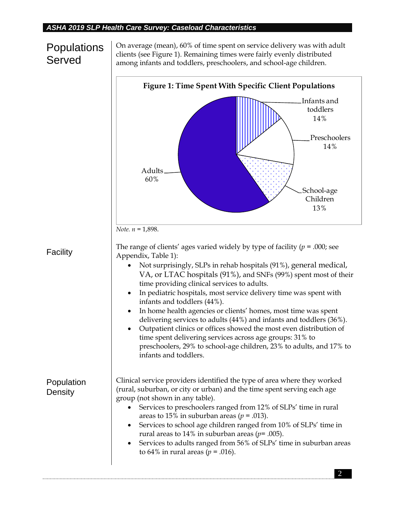### **Populations** Served

On average (mean), 60% of time spent on service delivery was with adult clients (see Figure 1). Remaining times were fairly evenly distributed among infants and toddlers, preschoolers, and school-age children.

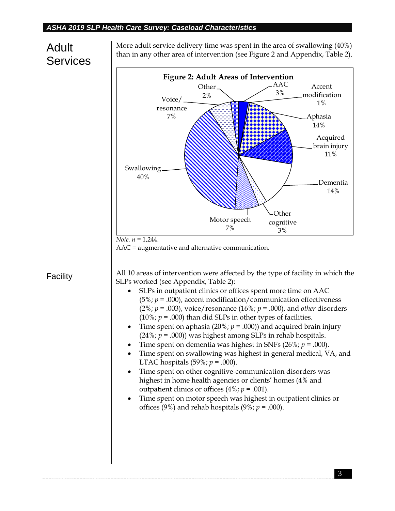### Adult Services

Facility

More adult service delivery time was spent in the area of swallowing (40%) than in any other area of intervention (see Figure 2 and Appendix, Table 2).

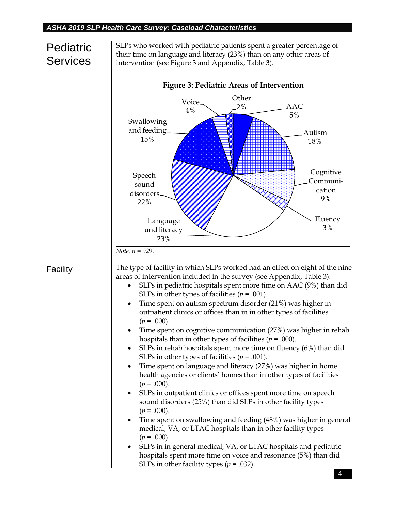## **Pediatric Services**

SLPs who worked with pediatric patients spent a greater percentage of their time on language and literacy (23%) than on any other areas of intervention (see Figure 3 and Appendix, Table 3).



#### **Facility**

The type of facility in which SLPs worked had an effect on eight of the nine areas of intervention included in the survey (see Appendix, Table 3):

- SLPs in pediatric hospitals spent more time on AAC (9%) than did SLPs in other types of facilities  $(p = .001)$ .
- Time spent on autism spectrum disorder (21%) was higher in outpatient clinics or offices than in in other types of facilities  $(p = .000)$ .
- Time spent on cognitive communication (27%) was higher in rehab hospitals than in other types of facilities  $(p = .000)$ .
- SLPs in rehab hospitals spent more time on fluency (6%) than did SLPs in other types of facilities  $(p = .001)$ .
- Time spent on language and literacy (27%) was higher in home health agencies or clients' homes than in other types of facilities  $(p = .000)$ .
- SLPs in outpatient clinics or offices spent more time on speech sound disorders (25%) than did SLPs in other facility types  $(p=.000).$
- Time spent on swallowing and feeding (48%) was higher in general medical, VA, or LTAC hospitals than in other facility types  $(p = .000)$ .
- SLPs in in general medical, VA, or LTAC hospitals and pediatric hospitals spent more time on voice and resonance (5%) than did SLPs in other facility types  $(p = .032)$ .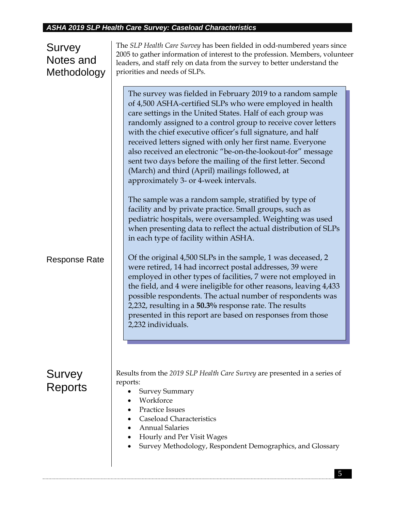#### Survey Notes and Methodology Response Rate Survey Reports The *SLP Health Care Survey* has been fielded in odd-numbered years since 2005 to gather information of interest to the profession. Members, volunteer leaders, and staff rely on data from the survey to better understand the priorities and needs of SLPs. Results from the *2019 SLP Health Care Survey* are presented in a series of reports: Survey Summary Workforce Practice Issues The survey was fielded in February 2019 to a random sample of 4,500 ASHA-certified SLPs who were employed in health care settings in the United States. Half of each group was randomly assigned to a control group to receive cover letters with the chief executive officer's full signature, and half received letters signed with only her first name. Everyone also received an electronic "be-on-the-lookout-for" message sent two days before the mailing of the first letter. Second (March) and third (April) mailings followed, at approximately 3- or 4-week intervals. The sample was a random sample, stratified by type of facility and by private practice. Small groups, such as pediatric hospitals, were oversampled. Weighting was used when presenting data to reflect the actual distribution of SLPs in each type of facility within ASHA. Of the original 4,500 SLPs in the sample, 1 was deceased, 2 were retired, 14 had incorrect postal addresses, 39 were employed in other types of facilities, 7 were not employed in the field, and 4 were ineligible for other reasons, leaving 4,433 possible respondents. The actual number of respondents was 2,232, resulting in a **50.3%** response rate. The results presented in this report are based on responses from those 2,232 individuals.

- Caseload Characteristics
- Annual Salaries
- Hourly and Per Visit Wages
- Survey Methodology, Respondent Demographics, and Glossary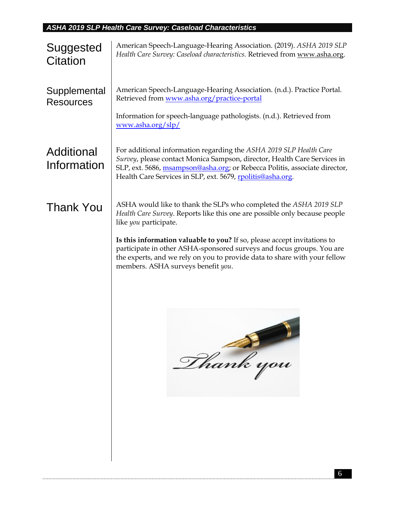| Suggested<br>Citation            | American Speech-Language-Hearing Association. (2019). ASHA 2019 SLP<br>Health Care Survey: Caseload characteristics. Retrieved from www.asha.org.                                                                                                                                          |  |  |  |  |  |  |  |  |  |
|----------------------------------|--------------------------------------------------------------------------------------------------------------------------------------------------------------------------------------------------------------------------------------------------------------------------------------------|--|--|--|--|--|--|--|--|--|
| Supplemental<br><b>Resources</b> | American Speech-Language-Hearing Association. (n.d.). Practice Portal.<br>Retrieved from www.asha.org/practice-portal                                                                                                                                                                      |  |  |  |  |  |  |  |  |  |
|                                  | Information for speech-language pathologists. (n.d.). Retrieved from<br>www.asha.org/slp/                                                                                                                                                                                                  |  |  |  |  |  |  |  |  |  |
| Additional<br>Information        | For additional information regarding the ASHA 2019 SLP Health Care<br>Survey, please contact Monica Sampson, director, Health Care Services in<br>SLP, ext. 5686, msampson@asha.org; or Rebecca Politis, associate director,<br>Health Care Services in SLP, ext. 5679, rpolitis@asha.org. |  |  |  |  |  |  |  |  |  |
| <b>Thank You</b>                 | ASHA would like to thank the SLPs who completed the ASHA 2019 SLP<br>Health Care Survey. Reports like this one are possible only because people<br>like you participate.                                                                                                                   |  |  |  |  |  |  |  |  |  |
|                                  | Is this information valuable to you? If so, please accept invitations to<br>participate in other ASHA-sponsored surveys and focus groups. You are<br>the experts, and we rely on you to provide data to share with your fellow<br>members. ASHA surveys benefit you.                       |  |  |  |  |  |  |  |  |  |
|                                  | Phank you                                                                                                                                                                                                                                                                                  |  |  |  |  |  |  |  |  |  |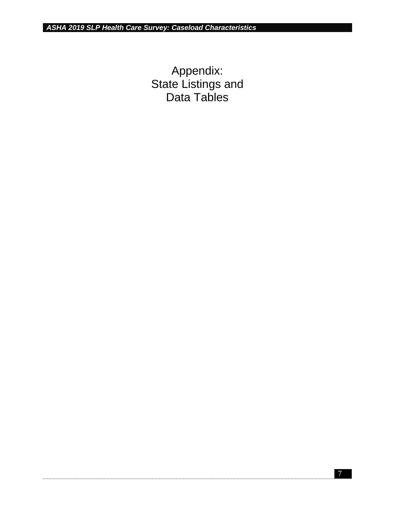Appendix: State Listings and Data Tables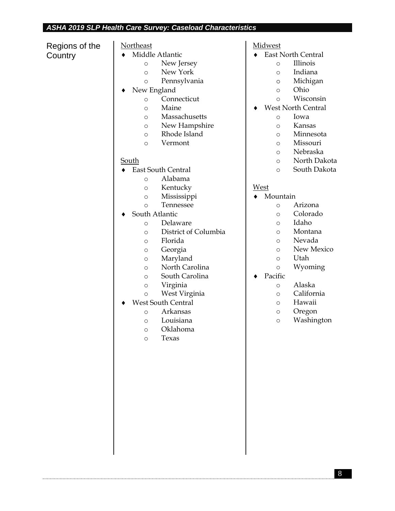Regions of the **Country** 

#### Northeast

- Middle Atlantic
	- o New Jersey
	- o New York
	- o Pennsylvania
- New England
	- o Connecticut
	- o Maine
	- o Massachusetts
	- o New Hampshire
	- o Rhode Island
	- o Vermont

#### South

- East South Central
	- o Alabama
	- o Kentucky
	- o Mississippi
	- o Tennessee
- ◆ South Atlantic
	- o Delaware
		- o District of Columbia
		- o Florida
		- o Georgia
		- o Maryland
		- o North Carolina
		- o South Carolina
		- o Virginia
		- o West Virginia
- West South Central
	- o Arkansas
	- o Louisiana
	- o Oklahoma
	- o Texas

#### Midwest

- East North Central
	- o Illinois
	- o Indiana
	- o Michigan
	- o Ohio
	- o Wisconsin
- West North Central
	- o Iowa
	- o Kansas
	- o Minnesota
	- o Missouri
	- o Nebraska
	- o North Dakota
	- o South Dakota

#### West

- Mountain
	- o Arizona
	- o Colorado
	- o Idaho
	- o Montana
	- o Nevada
	- o New Mexico
	- o Utah
	- o Wyoming
- ◆ Pacific
	- o Alaska
	- o California
	- o Hawaii
	- o Oregon
	- o Washington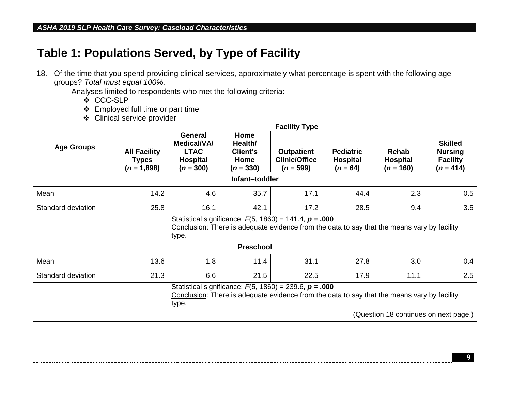## **Table 1: Populations Served, by Type of Facility**

| 18.                | Of the time that you spend providing clinical services, approximately what percentage is spent with the following age<br>groups? Total must equal 100%. |                                                                                |                                                    |                                                             |                                                   |                                                                                             |                                                                    |
|--------------------|---------------------------------------------------------------------------------------------------------------------------------------------------------|--------------------------------------------------------------------------------|----------------------------------------------------|-------------------------------------------------------------|---------------------------------------------------|---------------------------------------------------------------------------------------------|--------------------------------------------------------------------|
|                    | Analyses limited to respondents who met the following criteria:                                                                                         |                                                                                |                                                    |                                                             |                                                   |                                                                                             |                                                                    |
| ❖ CCC-SLP          |                                                                                                                                                         |                                                                                |                                                    |                                                             |                                                   |                                                                                             |                                                                    |
| ❖                  | Employed full time or part time                                                                                                                         |                                                                                |                                                    |                                                             |                                                   |                                                                                             |                                                                    |
| ❖                  | Clinical service provider                                                                                                                               |                                                                                |                                                    |                                                             |                                                   |                                                                                             |                                                                    |
|                    |                                                                                                                                                         |                                                                                |                                                    | <b>Facility Type</b>                                        |                                                   |                                                                                             |                                                                    |
| <b>Age Groups</b>  | <b>All Facility</b><br><b>Types</b><br>$(n = 1,898)$                                                                                                    | <b>General</b><br>Medical/VA/<br><b>LTAC</b><br><b>Hospital</b><br>$(n = 300)$ | Home<br>Health/<br>Client's<br>Home<br>$(n = 330)$ | <b>Outpatient</b><br><b>Clinic/Office</b><br>$(n = 599)$    | <b>Pediatric</b><br><b>Hospital</b><br>$(n = 64)$ | <b>Rehab</b><br><b>Hospital</b><br>$(n = 160)$                                              | <b>Skilled</b><br><b>Nursing</b><br><b>Facility</b><br>$(n = 414)$ |
|                    |                                                                                                                                                         |                                                                                | Infant-toddler                                     |                                                             |                                                   |                                                                                             |                                                                    |
| Mean               | 14.2                                                                                                                                                    | 4.6                                                                            | 35.7                                               | 17.1                                                        | 44.4                                              | 2.3                                                                                         | 0.5                                                                |
| Standard deviation | 25.8                                                                                                                                                    | 16.1                                                                           | 42.1                                               | 17.2                                                        | 28.5                                              | 9.4                                                                                         | 3.5                                                                |
|                    |                                                                                                                                                         | type.                                                                          |                                                    | Statistical significance: $F(5, 1860) = 141.4$ , $p = .000$ |                                                   | Conclusion: There is adequate evidence from the data to say that the means vary by facility |                                                                    |
|                    |                                                                                                                                                         |                                                                                | <b>Preschool</b>                                   |                                                             |                                                   |                                                                                             |                                                                    |
| Mean               | 13.6                                                                                                                                                    | 1.8                                                                            | 11.4                                               | 31.1                                                        | 27.8                                              | 3.0                                                                                         | 0.4                                                                |
| Standard deviation | 21.3                                                                                                                                                    | 6.6                                                                            | 21.5                                               | 22.5                                                        | 17.9                                              | 11.1                                                                                        | 2.5                                                                |
|                    |                                                                                                                                                         | type.                                                                          |                                                    | Statistical significance: $F(5, 1860) = 239.6$ , $p = .000$ |                                                   | Conclusion: There is adequate evidence from the data to say that the means vary by facility |                                                                    |
|                    |                                                                                                                                                         |                                                                                |                                                    |                                                             |                                                   | (Question 18 continues on next page.)                                                       |                                                                    |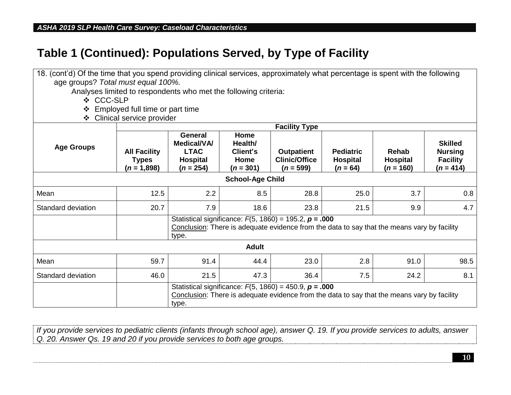### **Table 1 (Continued): Populations Served, by Type of Facility**

| 18. (cont'd) Of the time that you spend providing clinical services, approximately what percentage is spent with the following |                                                                                                                                                                     |                                                                                       |                                                    |                                                             |                                                   |                                                                                             |                                                                    |
|--------------------------------------------------------------------------------------------------------------------------------|---------------------------------------------------------------------------------------------------------------------------------------------------------------------|---------------------------------------------------------------------------------------|----------------------------------------------------|-------------------------------------------------------------|---------------------------------------------------|---------------------------------------------------------------------------------------------|--------------------------------------------------------------------|
| age groups? Total must equal 100%.                                                                                             |                                                                                                                                                                     |                                                                                       |                                                    |                                                             |                                                   |                                                                                             |                                                                    |
|                                                                                                                                | Analyses limited to respondents who met the following criteria:                                                                                                     |                                                                                       |                                                    |                                                             |                                                   |                                                                                             |                                                                    |
| ❖ CCC-SLP                                                                                                                      |                                                                                                                                                                     |                                                                                       |                                                    |                                                             |                                                   |                                                                                             |                                                                    |
|                                                                                                                                | Employed full time or part time                                                                                                                                     |                                                                                       |                                                    |                                                             |                                                   |                                                                                             |                                                                    |
| $\cdot$                                                                                                                        | Clinical service provider                                                                                                                                           |                                                                                       |                                                    |                                                             |                                                   |                                                                                             |                                                                    |
|                                                                                                                                |                                                                                                                                                                     |                                                                                       |                                                    | <b>Facility Type</b>                                        |                                                   |                                                                                             |                                                                    |
| <b>Age Groups</b>                                                                                                              | <b>All Facility</b><br><b>Types</b><br>$(n = 1,898)$                                                                                                                | <b>General</b><br><b>Medical/VA/</b><br><b>LTAC</b><br><b>Hospital</b><br>$(n = 254)$ | Home<br>Health/<br>Client's<br>Home<br>$(n = 301)$ | <b>Outpatient</b><br><b>Clinic/Office</b><br>$(n = 599)$    | <b>Pediatric</b><br><b>Hospital</b><br>$(n = 64)$ | Rehab<br><b>Hospital</b><br>$(n = 160)$                                                     | <b>Skilled</b><br><b>Nursing</b><br><b>Facility</b><br>$(n = 414)$ |
| <b>School-Age Child</b>                                                                                                        |                                                                                                                                                                     |                                                                                       |                                                    |                                                             |                                                   |                                                                                             |                                                                    |
| Mean                                                                                                                           | 12.5                                                                                                                                                                | 2.2                                                                                   | 8.5                                                | 28.8                                                        | 25.0                                              | 3.7                                                                                         | 0.8                                                                |
| Standard deviation                                                                                                             | 20.7                                                                                                                                                                | 7.9                                                                                   | 18.6                                               | 23.8                                                        | 21.5                                              | 9.9                                                                                         | 4.7                                                                |
|                                                                                                                                |                                                                                                                                                                     | type.                                                                                 |                                                    | Statistical significance: $F(5, 1860) = 195.2$ , $p = .000$ |                                                   | Conclusion: There is adequate evidence from the data to say that the means vary by facility |                                                                    |
|                                                                                                                                |                                                                                                                                                                     |                                                                                       | <b>Adult</b>                                       |                                                             |                                                   |                                                                                             |                                                                    |
| Mean                                                                                                                           | 59.7                                                                                                                                                                | 91.4                                                                                  | 44.4                                               | 23.0                                                        | 2.8                                               | 91.0                                                                                        | 98.5                                                               |
| Standard deviation                                                                                                             | 46.0                                                                                                                                                                | 21.5                                                                                  | 47.3                                               | 36.4                                                        | 7.5                                               | 24.2                                                                                        | 8.1                                                                |
|                                                                                                                                | Statistical significance: $F(5, 1860) = 450.9$ , $p = .000$<br>Conclusion: There is adequate evidence from the data to say that the means vary by facility<br>type. |                                                                                       |                                                    |                                                             |                                                   |                                                                                             |                                                                    |

*If you provide services to pediatric clients (infants through school age), answer Q. 19. If you provide services to adults, answer Q. 20. Answer Qs. 19 and 20 if you provide services to both age groups.*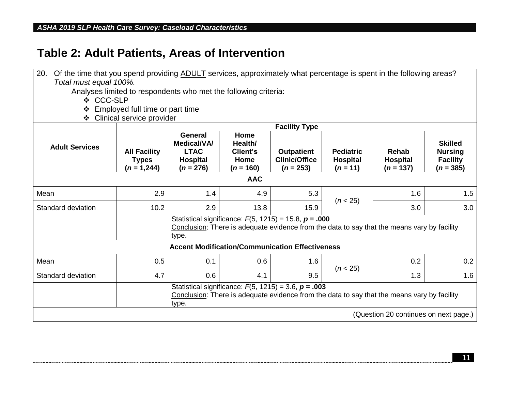## **Table 2: Adult Patients, Areas of Intervention**

| 20.<br>Of the time that you spend providing ADULT services, approximately what percentage is spent in the following areas? |                                                                                                                                                                   |                                                                                |                                                    |                                                            |                                                   |                                                                                             |                                                                    |
|----------------------------------------------------------------------------------------------------------------------------|-------------------------------------------------------------------------------------------------------------------------------------------------------------------|--------------------------------------------------------------------------------|----------------------------------------------------|------------------------------------------------------------|---------------------------------------------------|---------------------------------------------------------------------------------------------|--------------------------------------------------------------------|
| Total must equal 100%.                                                                                                     |                                                                                                                                                                   |                                                                                |                                                    |                                                            |                                                   |                                                                                             |                                                                    |
|                                                                                                                            | Analyses limited to respondents who met the following criteria:                                                                                                   |                                                                                |                                                    |                                                            |                                                   |                                                                                             |                                                                    |
| ❖ CCC-SLP                                                                                                                  |                                                                                                                                                                   |                                                                                |                                                    |                                                            |                                                   |                                                                                             |                                                                    |
| ❖                                                                                                                          | Employed full time or part time                                                                                                                                   |                                                                                |                                                    |                                                            |                                                   |                                                                                             |                                                                    |
| ❖                                                                                                                          | Clinical service provider                                                                                                                                         |                                                                                |                                                    |                                                            |                                                   |                                                                                             |                                                                    |
|                                                                                                                            |                                                                                                                                                                   |                                                                                |                                                    | <b>Facility Type</b>                                       |                                                   |                                                                                             |                                                                    |
| <b>Adult Services</b>                                                                                                      | <b>All Facility</b><br><b>Types</b><br>$(n = 1,244)$                                                                                                              | <b>General</b><br>Medical/VA/<br><b>LTAC</b><br><b>Hospital</b><br>$(n = 276)$ | Home<br>Health/<br>Client's<br>Home<br>$(n = 160)$ | <b>Outpatient</b><br><b>Clinic/Office</b><br>$(n = 253)$   | <b>Pediatric</b><br><b>Hospital</b><br>$(n = 11)$ | Rehab<br><b>Hospital</b><br>$(n = 137)$                                                     | <b>Skilled</b><br><b>Nursing</b><br><b>Facility</b><br>$(n = 385)$ |
|                                                                                                                            |                                                                                                                                                                   |                                                                                | <b>AAC</b>                                         |                                                            |                                                   |                                                                                             |                                                                    |
| Mean                                                                                                                       | 2.9                                                                                                                                                               | 1.4                                                                            | 4.9                                                | 5.3                                                        | (n < 25)                                          | 1.6                                                                                         | 1.5                                                                |
| Standard deviation                                                                                                         | 10.2                                                                                                                                                              | 2.9                                                                            | 13.8                                               | 15.9                                                       |                                                   | 3.0                                                                                         | 3.0                                                                |
|                                                                                                                            |                                                                                                                                                                   | type.                                                                          |                                                    | Statistical significance: $F(5, 1215) = 15.8$ , $p = .000$ |                                                   | Conclusion: There is adequate evidence from the data to say that the means vary by facility |                                                                    |
|                                                                                                                            |                                                                                                                                                                   |                                                                                |                                                    | <b>Accent Modification/Communication Effectiveness</b>     |                                                   |                                                                                             |                                                                    |
| Mean                                                                                                                       | 0.5                                                                                                                                                               | 0.1                                                                            | 0.6                                                | 1.6                                                        | (n < 25)                                          | 0.2                                                                                         | 0.2                                                                |
| Standard deviation                                                                                                         | 4.7                                                                                                                                                               | 0.6                                                                            | 4.1                                                | 9.5                                                        |                                                   | 1.3                                                                                         | 1.6                                                                |
|                                                                                                                            | Statistical significance: $F(5, 1215) = 3.6$ , $p = .003$<br>Conclusion: There is adequate evidence from the data to say that the means vary by facility<br>type. |                                                                                |                                                    |                                                            |                                                   |                                                                                             |                                                                    |
|                                                                                                                            |                                                                                                                                                                   |                                                                                |                                                    |                                                            |                                                   | (Question 20 continues on next page.)                                                       |                                                                    |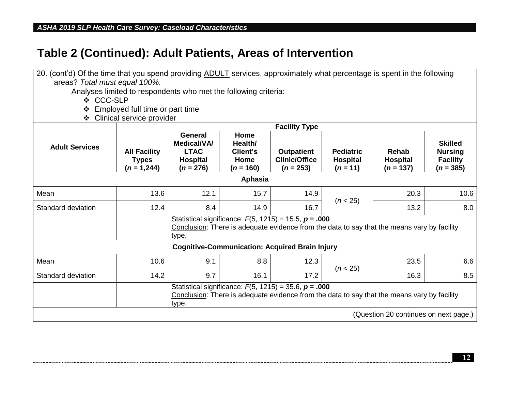| 20. (cont'd) Of the time that you spend providing ADULT services, approximately what percentage is spent in the following |                                                                                                                                                                    |                                                                                |                                                           |                                                            |                                                   |                                                                                             |                                                                    |  |
|---------------------------------------------------------------------------------------------------------------------------|--------------------------------------------------------------------------------------------------------------------------------------------------------------------|--------------------------------------------------------------------------------|-----------------------------------------------------------|------------------------------------------------------------|---------------------------------------------------|---------------------------------------------------------------------------------------------|--------------------------------------------------------------------|--|
| areas? Total must equal 100%.                                                                                             |                                                                                                                                                                    |                                                                                |                                                           |                                                            |                                                   |                                                                                             |                                                                    |  |
|                                                                                                                           | Analyses limited to respondents who met the following criteria:                                                                                                    |                                                                                |                                                           |                                                            |                                                   |                                                                                             |                                                                    |  |
| ❖ CCC-SLP                                                                                                                 |                                                                                                                                                                    |                                                                                |                                                           |                                                            |                                                   |                                                                                             |                                                                    |  |
| ❖                                                                                                                         | Employed full time or part time                                                                                                                                    |                                                                                |                                                           |                                                            |                                                   |                                                                                             |                                                                    |  |
| ❖                                                                                                                         | Clinical service provider                                                                                                                                          |                                                                                |                                                           |                                                            |                                                   |                                                                                             |                                                                    |  |
| <b>Facility Type</b>                                                                                                      |                                                                                                                                                                    |                                                                                |                                                           |                                                            |                                                   |                                                                                             |                                                                    |  |
| <b>Adult Services</b>                                                                                                     | <b>All Facility</b><br><b>Types</b><br>$(n = 1,244)$                                                                                                               | <b>General</b><br><b>Medical/VA/</b><br><b>LTAC</b><br>Hospital<br>$(n = 276)$ | Home<br>Health/<br><b>Client's</b><br>Home<br>$(n = 160)$ | <b>Outpatient</b><br><b>Clinic/Office</b><br>$(n = 253)$   | <b>Pediatric</b><br><b>Hospital</b><br>$(n = 11)$ | Rehab<br><b>Hospital</b><br>$(n = 137)$                                                     | <b>Skilled</b><br><b>Nursing</b><br><b>Facility</b><br>$(n = 385)$ |  |
|                                                                                                                           |                                                                                                                                                                    |                                                                                | <b>Aphasia</b>                                            |                                                            |                                                   |                                                                                             |                                                                    |  |
| Mean                                                                                                                      | 13.6                                                                                                                                                               | 12.1                                                                           | 15.7                                                      | 14.9                                                       | (n < 25)                                          | 20.3                                                                                        | 10.6                                                               |  |
| Standard deviation                                                                                                        | 12.4                                                                                                                                                               | 8.4                                                                            | 14.9                                                      | 16.7                                                       |                                                   | 13.2                                                                                        | 8.0                                                                |  |
|                                                                                                                           |                                                                                                                                                                    | type.                                                                          |                                                           | Statistical significance: $F(5, 1215) = 15.5$ , $p = .000$ |                                                   | Conclusion: There is adequate evidence from the data to say that the means vary by facility |                                                                    |  |
|                                                                                                                           |                                                                                                                                                                    |                                                                                |                                                           | <b>Cognitive-Communication: Acquired Brain Injury</b>      |                                                   |                                                                                             |                                                                    |  |
| Mean                                                                                                                      | 10.6                                                                                                                                                               | 9.1                                                                            | 8.8                                                       | 12.3                                                       |                                                   | 23.5                                                                                        | 6.6                                                                |  |
| Standard deviation                                                                                                        | 14.2                                                                                                                                                               | 9.7                                                                            | 16.1                                                      | 17.2                                                       | (n < 25)                                          | 16.3                                                                                        | 8.5                                                                |  |
|                                                                                                                           | Statistical significance: $F(5, 1215) = 35.6$ , $p = .000$<br>Conclusion: There is adequate evidence from the data to say that the means vary by facility<br>type. |                                                                                |                                                           |                                                            |                                                   |                                                                                             |                                                                    |  |
|                                                                                                                           |                                                                                                                                                                    |                                                                                |                                                           |                                                            |                                                   | (Question 20 continues on next page.)                                                       |                                                                    |  |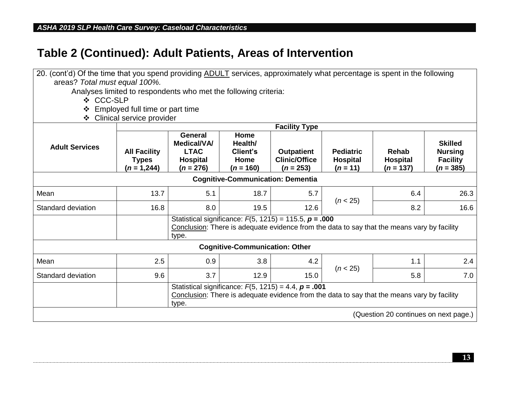| 20. (cont'd) Of the time that you spend providing ADULT services, approximately what percentage is spent in the following |                                                                                                                                                                   |                                                                                       |                                                           |                                                             |                                                   |                                                                                             |                                                                    |  |
|---------------------------------------------------------------------------------------------------------------------------|-------------------------------------------------------------------------------------------------------------------------------------------------------------------|---------------------------------------------------------------------------------------|-----------------------------------------------------------|-------------------------------------------------------------|---------------------------------------------------|---------------------------------------------------------------------------------------------|--------------------------------------------------------------------|--|
| areas? Total must equal 100%.                                                                                             |                                                                                                                                                                   |                                                                                       |                                                           |                                                             |                                                   |                                                                                             |                                                                    |  |
|                                                                                                                           | Analyses limited to respondents who met the following criteria:                                                                                                   |                                                                                       |                                                           |                                                             |                                                   |                                                                                             |                                                                    |  |
| ❖ CCC-SLP                                                                                                                 |                                                                                                                                                                   |                                                                                       |                                                           |                                                             |                                                   |                                                                                             |                                                                    |  |
| ❖                                                                                                                         | Employed full time or part time                                                                                                                                   |                                                                                       |                                                           |                                                             |                                                   |                                                                                             |                                                                    |  |
| $\mathbf{A}$                                                                                                              | Clinical service provider                                                                                                                                         |                                                                                       |                                                           |                                                             |                                                   |                                                                                             |                                                                    |  |
| <b>Facility Type</b>                                                                                                      |                                                                                                                                                                   |                                                                                       |                                                           |                                                             |                                                   |                                                                                             |                                                                    |  |
| <b>Adult Services</b>                                                                                                     | <b>All Facility</b><br><b>Types</b><br>$(n = 1,244)$                                                                                                              | <b>General</b><br><b>Medical/VA/</b><br><b>LTAC</b><br><b>Hospital</b><br>$(n = 276)$ | Home<br>Health/<br><b>Client's</b><br>Home<br>$(n = 160)$ | <b>Outpatient</b><br><b>Clinic/Office</b><br>$(n = 253)$    | <b>Pediatric</b><br><b>Hospital</b><br>$(n = 11)$ | Rehab<br><b>Hospital</b><br>$(n = 137)$                                                     | <b>Skilled</b><br><b>Nursing</b><br><b>Facility</b><br>$(n = 385)$ |  |
|                                                                                                                           |                                                                                                                                                                   |                                                                                       | <b>Cognitive-Communication: Dementia</b>                  |                                                             |                                                   |                                                                                             |                                                                    |  |
| Mean                                                                                                                      | 13.7                                                                                                                                                              | 5.1                                                                                   | 18.7                                                      | 5.7                                                         | (n < 25)                                          | 6.4                                                                                         | 26.3                                                               |  |
| Standard deviation                                                                                                        | 16.8                                                                                                                                                              | 8.0                                                                                   | 19.5                                                      | 12.6                                                        |                                                   | 8.2                                                                                         | 16.6                                                               |  |
|                                                                                                                           |                                                                                                                                                                   | type.                                                                                 |                                                           | Statistical significance: $F(5, 1215) = 115.5$ , $p = .000$ |                                                   | Conclusion: There is adequate evidence from the data to say that the means vary by facility |                                                                    |  |
|                                                                                                                           |                                                                                                                                                                   |                                                                                       | <b>Cognitive-Communication: Other</b>                     |                                                             |                                                   |                                                                                             |                                                                    |  |
| Mean                                                                                                                      | 2.5                                                                                                                                                               | 0.9                                                                                   | 3.8                                                       | 4.2                                                         | (n < 25)                                          | 1.1                                                                                         | 2.4                                                                |  |
| Standard deviation                                                                                                        | 9.6                                                                                                                                                               | 3.7                                                                                   | 12.9                                                      | 15.0                                                        |                                                   | 5.8                                                                                         | 7.0                                                                |  |
|                                                                                                                           | Statistical significance: $F(5, 1215) = 4.4$ , $p = .001$<br>Conclusion: There is adequate evidence from the data to say that the means vary by facility<br>type. |                                                                                       |                                                           |                                                             |                                                   |                                                                                             |                                                                    |  |
|                                                                                                                           |                                                                                                                                                                   |                                                                                       |                                                           |                                                             |                                                   | (Question 20 continues on next page.)                                                       |                                                                    |  |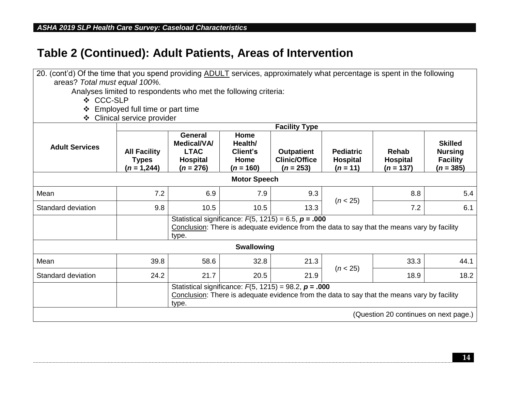| 20. (cont'd) Of the time that you spend providing ADULT services, approximately what percentage is spent in the following |                                                                                                                                                                    |                                                                                       |                                                           |                                                           |                                                   |                                                                                             |                                                                    |  |
|---------------------------------------------------------------------------------------------------------------------------|--------------------------------------------------------------------------------------------------------------------------------------------------------------------|---------------------------------------------------------------------------------------|-----------------------------------------------------------|-----------------------------------------------------------|---------------------------------------------------|---------------------------------------------------------------------------------------------|--------------------------------------------------------------------|--|
| areas? Total must equal 100%.                                                                                             |                                                                                                                                                                    |                                                                                       |                                                           |                                                           |                                                   |                                                                                             |                                                                    |  |
|                                                                                                                           | Analyses limited to respondents who met the following criteria:                                                                                                    |                                                                                       |                                                           |                                                           |                                                   |                                                                                             |                                                                    |  |
| ❖ CCC-SLP                                                                                                                 |                                                                                                                                                                    |                                                                                       |                                                           |                                                           |                                                   |                                                                                             |                                                                    |  |
| ❖                                                                                                                         | Employed full time or part time                                                                                                                                    |                                                                                       |                                                           |                                                           |                                                   |                                                                                             |                                                                    |  |
| ❖                                                                                                                         | Clinical service provider                                                                                                                                          |                                                                                       |                                                           |                                                           |                                                   |                                                                                             |                                                                    |  |
|                                                                                                                           |                                                                                                                                                                    |                                                                                       |                                                           | <b>Facility Type</b>                                      |                                                   |                                                                                             |                                                                    |  |
| <b>Adult Services</b>                                                                                                     | <b>All Facility</b><br><b>Types</b><br>$(n = 1,244)$                                                                                                               | <b>General</b><br><b>Medical/VA/</b><br><b>LTAC</b><br><b>Hospital</b><br>$(n = 276)$ | Home<br>Health/<br><b>Client's</b><br>Home<br>$(n = 160)$ | <b>Outpatient</b><br><b>Clinic/Office</b><br>$(n = 253)$  | <b>Pediatric</b><br><b>Hospital</b><br>$(n = 11)$ | Rehab<br><b>Hospital</b><br>$(n = 137)$                                                     | <b>Skilled</b><br><b>Nursing</b><br><b>Facility</b><br>$(n = 385)$ |  |
| <b>Motor Speech</b>                                                                                                       |                                                                                                                                                                    |                                                                                       |                                                           |                                                           |                                                   |                                                                                             |                                                                    |  |
| Mean                                                                                                                      | 7.2                                                                                                                                                                | 6.9                                                                                   | 7.9                                                       | 9.3                                                       | (n < 25)                                          | 8.8                                                                                         | 5.4                                                                |  |
| Standard deviation                                                                                                        | 9.8                                                                                                                                                                | 10.5                                                                                  | 10.5                                                      | 13.3                                                      |                                                   | 7.2                                                                                         | 6.1                                                                |  |
|                                                                                                                           |                                                                                                                                                                    | type.                                                                                 |                                                           | Statistical significance: $F(5, 1215) = 6.5$ , $p = .000$ |                                                   | Conclusion: There is adequate evidence from the data to say that the means vary by facility |                                                                    |  |
|                                                                                                                           |                                                                                                                                                                    |                                                                                       | <b>Swallowing</b>                                         |                                                           |                                                   |                                                                                             |                                                                    |  |
| Mean                                                                                                                      | 39.8                                                                                                                                                               | 58.6                                                                                  | 32.8                                                      | 21.3                                                      | (n < 25)                                          | 33.3                                                                                        | 44.1                                                               |  |
| Standard deviation                                                                                                        | 24.2                                                                                                                                                               | 21.7                                                                                  | 20.5                                                      | 21.9                                                      |                                                   | 18.9                                                                                        | 18.2                                                               |  |
|                                                                                                                           | Statistical significance: $F(5, 1215) = 98.2$ , $p = .000$<br>Conclusion: There is adequate evidence from the data to say that the means vary by facility<br>type. |                                                                                       |                                                           |                                                           |                                                   |                                                                                             |                                                                    |  |
|                                                                                                                           |                                                                                                                                                                    |                                                                                       |                                                           |                                                           |                                                   | (Question 20 continues on next page.)                                                       |                                                                    |  |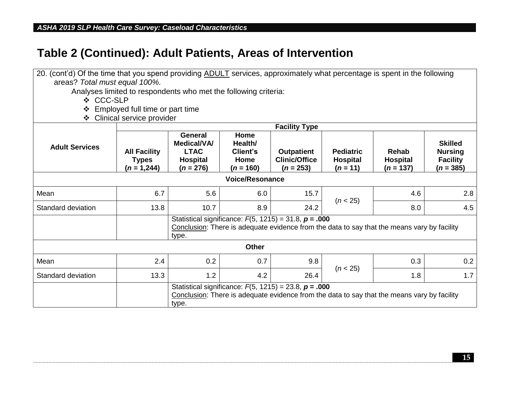| 20. (cont'd) Of the time that you spend providing ADULT services, approximately what percentage is spent in the following |                                                                                                                                                                    |                                                                                       |                                                    |                                                            |                                                   |                                                                                             |                                                                    |  |
|---------------------------------------------------------------------------------------------------------------------------|--------------------------------------------------------------------------------------------------------------------------------------------------------------------|---------------------------------------------------------------------------------------|----------------------------------------------------|------------------------------------------------------------|---------------------------------------------------|---------------------------------------------------------------------------------------------|--------------------------------------------------------------------|--|
| areas? Total must equal 100%.                                                                                             |                                                                                                                                                                    |                                                                                       |                                                    |                                                            |                                                   |                                                                                             |                                                                    |  |
|                                                                                                                           | Analyses limited to respondents who met the following criteria:                                                                                                    |                                                                                       |                                                    |                                                            |                                                   |                                                                                             |                                                                    |  |
| ❖ CCC-SLP                                                                                                                 |                                                                                                                                                                    |                                                                                       |                                                    |                                                            |                                                   |                                                                                             |                                                                    |  |
|                                                                                                                           | Employed full time or part time                                                                                                                                    |                                                                                       |                                                    |                                                            |                                                   |                                                                                             |                                                                    |  |
|                                                                                                                           | ❖ Clinical service provider                                                                                                                                        |                                                                                       |                                                    |                                                            |                                                   |                                                                                             |                                                                    |  |
|                                                                                                                           |                                                                                                                                                                    |                                                                                       |                                                    | <b>Facility Type</b>                                       |                                                   |                                                                                             |                                                                    |  |
| <b>Adult Services</b>                                                                                                     | <b>All Facility</b><br><b>Types</b><br>$(n = 1,244)$                                                                                                               | <b>General</b><br><b>Medical/VA/</b><br><b>LTAC</b><br><b>Hospital</b><br>$(n = 276)$ | Home<br>Health/<br>Client's<br>Home<br>$(n = 160)$ | <b>Outpatient</b><br><b>Clinic/Office</b><br>$(n = 253)$   | <b>Pediatric</b><br><b>Hospital</b><br>$(n = 11)$ | <b>Rehab</b><br><b>Hospital</b><br>$(n = 137)$                                              | <b>Skilled</b><br><b>Nursing</b><br><b>Facility</b><br>$(n = 385)$ |  |
| <b>Voice/Resonance</b>                                                                                                    |                                                                                                                                                                    |                                                                                       |                                                    |                                                            |                                                   |                                                                                             |                                                                    |  |
| Mean                                                                                                                      | 6.7                                                                                                                                                                | 5.6                                                                                   | 6.0                                                | 15.7                                                       | (n < 25)                                          | 4.6                                                                                         | 2.8                                                                |  |
| Standard deviation                                                                                                        | 13.8                                                                                                                                                               | 10.7                                                                                  | 8.9                                                | 24.2                                                       |                                                   | 8.0                                                                                         | 4.5                                                                |  |
|                                                                                                                           |                                                                                                                                                                    | type.                                                                                 |                                                    | Statistical significance: $F(5, 1215) = 31.8$ , $p = .000$ |                                                   | Conclusion: There is adequate evidence from the data to say that the means vary by facility |                                                                    |  |
|                                                                                                                           |                                                                                                                                                                    |                                                                                       | <b>Other</b>                                       |                                                            |                                                   |                                                                                             |                                                                    |  |
| Mean                                                                                                                      | 2.4                                                                                                                                                                | 0.2                                                                                   | 0.7                                                | 9.8                                                        | (n < 25)                                          | 0.3                                                                                         | 0.2                                                                |  |
| Standard deviation                                                                                                        | 13.3                                                                                                                                                               | 1.2                                                                                   | 4.2                                                | 26.4                                                       |                                                   | 1.8                                                                                         | 1.7                                                                |  |
|                                                                                                                           | Statistical significance: $F(5, 1215) = 23.8$ , $p = .000$<br>Conclusion: There is adequate evidence from the data to say that the means vary by facility<br>type. |                                                                                       |                                                    |                                                            |                                                   |                                                                                             |                                                                    |  |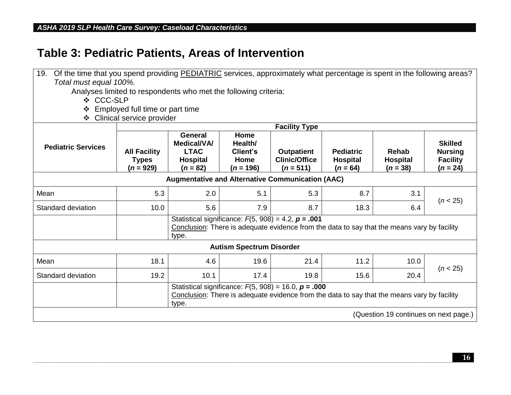## **Table 3: Pediatric Patients, Areas of Intervention**

| 19.                                                             | Of the time that you spend providing PEDIATRIC services, approximately what percentage is spent in the following areas? |                                                                               |                                                    |                                                                                                                                                          |                                                   |                                        |                                                                   |  |  |  |  |  |  |  |
|-----------------------------------------------------------------|-------------------------------------------------------------------------------------------------------------------------|-------------------------------------------------------------------------------|----------------------------------------------------|----------------------------------------------------------------------------------------------------------------------------------------------------------|---------------------------------------------------|----------------------------------------|-------------------------------------------------------------------|--|--|--|--|--|--|--|
| Total must equal 100%.                                          |                                                                                                                         |                                                                               |                                                    |                                                                                                                                                          |                                                   |                                        |                                                                   |  |  |  |  |  |  |  |
| Analyses limited to respondents who met the following criteria: |                                                                                                                         |                                                                               |                                                    |                                                                                                                                                          |                                                   |                                        |                                                                   |  |  |  |  |  |  |  |
| ❖ CCC-SLP                                                       |                                                                                                                         |                                                                               |                                                    |                                                                                                                                                          |                                                   |                                        |                                                                   |  |  |  |  |  |  |  |
| Employed full time or part time<br>❖                            |                                                                                                                         |                                                                               |                                                    |                                                                                                                                                          |                                                   |                                        |                                                                   |  |  |  |  |  |  |  |
| Clinical service provider<br>❖                                  |                                                                                                                         |                                                                               |                                                    |                                                                                                                                                          |                                                   |                                        |                                                                   |  |  |  |  |  |  |  |
|                                                                 |                                                                                                                         |                                                                               |                                                    | <b>Facility Type</b>                                                                                                                                     |                                                   |                                        |                                                                   |  |  |  |  |  |  |  |
| <b>Pediatric Services</b>                                       | <b>All Facility</b><br><b>Types</b><br>$(n = 929)$                                                                      | <b>General</b><br>Medical/VA/<br><b>LTAC</b><br><b>Hospital</b><br>$(n = 82)$ | Home<br>Health/<br>Client's<br>Home<br>$(n = 196)$ | <b>Outpatient</b><br><b>Clinic/Office</b><br>$(n = 511)$                                                                                                 | <b>Pediatric</b><br><b>Hospital</b><br>$(n = 64)$ | Rehab<br><b>Hospital</b><br>$(n = 38)$ | <b>Skilled</b><br><b>Nursing</b><br><b>Facility</b><br>$(n = 24)$ |  |  |  |  |  |  |  |
| <b>Augmentative and Alternative Communication (AAC)</b>         |                                                                                                                         |                                                                               |                                                    |                                                                                                                                                          |                                                   |                                        |                                                                   |  |  |  |  |  |  |  |
| Mean                                                            | 5.3                                                                                                                     | 2.0                                                                           | 5.1                                                | 5.3                                                                                                                                                      | 8.7                                               | 3.1                                    | (n < 25)                                                          |  |  |  |  |  |  |  |
| Standard deviation                                              | 10.0                                                                                                                    | 5.6                                                                           | 7.9                                                | 8.7                                                                                                                                                      | 18.3                                              | 6.4                                    |                                                                   |  |  |  |  |  |  |  |
|                                                                 |                                                                                                                         | type.                                                                         |                                                    | Statistical significance: $F(5, 908) = 4.2$ , $p = .001$<br>Conclusion: There is adequate evidence from the data to say that the means vary by facility  |                                                   |                                        |                                                                   |  |  |  |  |  |  |  |
|                                                                 |                                                                                                                         |                                                                               | <b>Autism Spectrum Disorder</b>                    |                                                                                                                                                          |                                                   |                                        |                                                                   |  |  |  |  |  |  |  |
| Mean                                                            | 18.1                                                                                                                    | 4.6                                                                           | 19.6                                               | 21.4                                                                                                                                                     | 11.2                                              | 10.0                                   | (n < 25)                                                          |  |  |  |  |  |  |  |
| Standard deviation                                              | 19.2                                                                                                                    | 10.1                                                                          | 17.4                                               | 19.8                                                                                                                                                     | 15.6                                              | 20.4                                   |                                                                   |  |  |  |  |  |  |  |
|                                                                 |                                                                                                                         | type.                                                                         |                                                    | Statistical significance: $F(5, 908) = 16.0$ , $p = .000$<br>Conclusion: There is adequate evidence from the data to say that the means vary by facility |                                                   |                                        |                                                                   |  |  |  |  |  |  |  |
|                                                                 |                                                                                                                         |                                                                               |                                                    |                                                                                                                                                          |                                                   |                                        | (Question 19 continues on next page.)                             |  |  |  |  |  |  |  |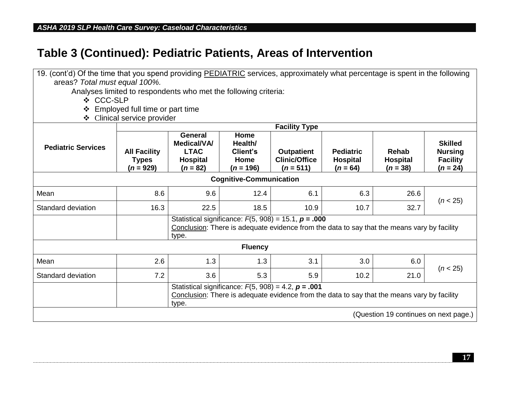| 19. (cont'd) Of the time that you spend providing PEDIATRIC services, approximately what percentage is spent in the following |                                                                                                                                                                  |                                                                               |                                                           |                                                                                                                                                          |                                                   |                                        |                                                                   |  |
|-------------------------------------------------------------------------------------------------------------------------------|------------------------------------------------------------------------------------------------------------------------------------------------------------------|-------------------------------------------------------------------------------|-----------------------------------------------------------|----------------------------------------------------------------------------------------------------------------------------------------------------------|---------------------------------------------------|----------------------------------------|-------------------------------------------------------------------|--|
| areas? Total must equal 100%.                                                                                                 |                                                                                                                                                                  |                                                                               |                                                           |                                                                                                                                                          |                                                   |                                        |                                                                   |  |
| Analyses limited to respondents who met the following criteria:                                                               |                                                                                                                                                                  |                                                                               |                                                           |                                                                                                                                                          |                                                   |                                        |                                                                   |  |
| ❖ CCC-SLP                                                                                                                     |                                                                                                                                                                  |                                                                               |                                                           |                                                                                                                                                          |                                                   |                                        |                                                                   |  |
| Employed full time or part time<br>❖                                                                                          |                                                                                                                                                                  |                                                                               |                                                           |                                                                                                                                                          |                                                   |                                        |                                                                   |  |
| Clinical service provider<br>❖                                                                                                |                                                                                                                                                                  |                                                                               |                                                           |                                                                                                                                                          |                                                   |                                        |                                                                   |  |
|                                                                                                                               |                                                                                                                                                                  |                                                                               |                                                           | <b>Facility Type</b>                                                                                                                                     |                                                   |                                        |                                                                   |  |
| <b>Pediatric Services</b>                                                                                                     | <b>All Facility</b><br><b>Types</b><br>$(n = 929)$                                                                                                               | <b>General</b><br>Medical/VA/<br><b>LTAC</b><br><b>Hospital</b><br>$(n = 82)$ | Home<br>Health/<br><b>Client's</b><br>Home<br>$(n = 196)$ | <b>Outpatient</b><br><b>Clinic/Office</b><br>$(n = 511)$                                                                                                 | <b>Pediatric</b><br><b>Hospital</b><br>$(n = 64)$ | Rehab<br><b>Hospital</b><br>$(n = 38)$ | <b>Skilled</b><br><b>Nursing</b><br><b>Facility</b><br>$(n = 24)$ |  |
| <b>Cognitive-Communication</b>                                                                                                |                                                                                                                                                                  |                                                                               |                                                           |                                                                                                                                                          |                                                   |                                        |                                                                   |  |
| Mean                                                                                                                          | 8.6                                                                                                                                                              | 9.6                                                                           | 12.4                                                      | 6.1                                                                                                                                                      | 6.3                                               | 26.6                                   | (n < 25)                                                          |  |
| Standard deviation                                                                                                            | 16.3                                                                                                                                                             | 22.5                                                                          | 18.5                                                      | 10.9                                                                                                                                                     | 10.7                                              | 32.7                                   |                                                                   |  |
|                                                                                                                               |                                                                                                                                                                  | type.                                                                         |                                                           | Statistical significance: $F(5, 908) = 15.1$ , $p = .000$<br>Conclusion: There is adequate evidence from the data to say that the means vary by facility |                                                   |                                        |                                                                   |  |
|                                                                                                                               |                                                                                                                                                                  |                                                                               | <b>Fluency</b>                                            |                                                                                                                                                          |                                                   |                                        |                                                                   |  |
| Mean                                                                                                                          | 2.6                                                                                                                                                              | 1.3                                                                           | 1.3                                                       | 3.1                                                                                                                                                      | 3.0                                               | 6.0                                    | (n < 25)                                                          |  |
| Standard deviation                                                                                                            | 7.2                                                                                                                                                              | 3.6                                                                           | 5.3                                                       | 5.9                                                                                                                                                      | 10.2                                              | 21.0                                   |                                                                   |  |
|                                                                                                                               | Statistical significance: $F(5, 908) = 4.2$ , $p = .001$<br>Conclusion: There is adequate evidence from the data to say that the means vary by facility<br>type. |                                                                               |                                                           |                                                                                                                                                          |                                                   |                                        |                                                                   |  |
|                                                                                                                               |                                                                                                                                                                  |                                                                               |                                                           |                                                                                                                                                          |                                                   | (Question 19 continues on next page.)  |                                                                   |  |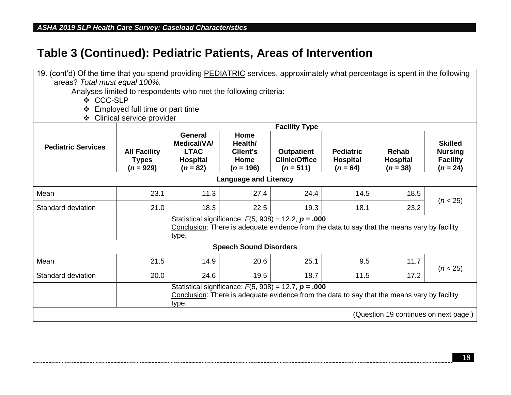| 19. (cont'd) Of the time that you spend providing PEDIATRIC services, approximately what percentage is spent in the following |                                                                                                                                                                   |                                                                               |                                                    |                                                                                                                                                          |                                                   |                                        |                                                                   |  |
|-------------------------------------------------------------------------------------------------------------------------------|-------------------------------------------------------------------------------------------------------------------------------------------------------------------|-------------------------------------------------------------------------------|----------------------------------------------------|----------------------------------------------------------------------------------------------------------------------------------------------------------|---------------------------------------------------|----------------------------------------|-------------------------------------------------------------------|--|
| areas? Total must equal 100%.                                                                                                 |                                                                                                                                                                   |                                                                               |                                                    |                                                                                                                                                          |                                                   |                                        |                                                                   |  |
| Analyses limited to respondents who met the following criteria:                                                               |                                                                                                                                                                   |                                                                               |                                                    |                                                                                                                                                          |                                                   |                                        |                                                                   |  |
| ❖ CCC-SLP                                                                                                                     |                                                                                                                                                                   |                                                                               |                                                    |                                                                                                                                                          |                                                   |                                        |                                                                   |  |
| Employed full time or part time                                                                                               |                                                                                                                                                                   |                                                                               |                                                    |                                                                                                                                                          |                                                   |                                        |                                                                   |  |
| Clinical service provider<br>❖                                                                                                |                                                                                                                                                                   |                                                                               |                                                    |                                                                                                                                                          |                                                   |                                        |                                                                   |  |
|                                                                                                                               | <b>Facility Type</b>                                                                                                                                              |                                                                               |                                                    |                                                                                                                                                          |                                                   |                                        |                                                                   |  |
| <b>Pediatric Services</b>                                                                                                     | <b>All Facility</b><br><b>Types</b><br>$(n = 929)$                                                                                                                | General<br><b>Medical/VA/</b><br><b>LTAC</b><br><b>Hospital</b><br>$(n = 82)$ | Home<br>Health/<br>Client's<br>Home<br>$(n = 196)$ | <b>Outpatient</b><br><b>Clinic/Office</b><br>$(n = 511)$                                                                                                 | <b>Pediatric</b><br><b>Hospital</b><br>$(n = 64)$ | Rehab<br><b>Hospital</b><br>$(n = 38)$ | <b>Skilled</b><br><b>Nursing</b><br><b>Facility</b><br>$(n = 24)$ |  |
| <b>Language and Literacy</b>                                                                                                  |                                                                                                                                                                   |                                                                               |                                                    |                                                                                                                                                          |                                                   |                                        |                                                                   |  |
| Mean                                                                                                                          | 23.1                                                                                                                                                              | 11.3                                                                          | 27.4                                               | 24.4                                                                                                                                                     | 14.5                                              | 18.5                                   | (n < 25)                                                          |  |
| Standard deviation                                                                                                            | 21.0                                                                                                                                                              | 18.3                                                                          | 22.5                                               | 19.3                                                                                                                                                     | 18.1                                              | 23.2                                   |                                                                   |  |
|                                                                                                                               |                                                                                                                                                                   | type.                                                                         |                                                    | Statistical significance: $F(5, 908) = 12.2$ , $p = .000$<br>Conclusion: There is adequate evidence from the data to say that the means vary by facility |                                                   |                                        |                                                                   |  |
|                                                                                                                               |                                                                                                                                                                   |                                                                               | <b>Speech Sound Disorders</b>                      |                                                                                                                                                          |                                                   |                                        |                                                                   |  |
| Mean                                                                                                                          | 21.5                                                                                                                                                              | 14.9                                                                          | 20.6                                               | 25.1                                                                                                                                                     | 9.5                                               | 11.7                                   | (n < 25)                                                          |  |
| Standard deviation                                                                                                            | 20.0                                                                                                                                                              | 24.6                                                                          | 19.5                                               | 18.7                                                                                                                                                     | 11.5                                              | 17.2                                   |                                                                   |  |
|                                                                                                                               | Statistical significance: $F(5, 908) = 12.7$ , $p = .000$<br>Conclusion: There is adequate evidence from the data to say that the means vary by facility<br>type. |                                                                               |                                                    |                                                                                                                                                          |                                                   |                                        |                                                                   |  |
|                                                                                                                               | (Question 19 continues on next page.)                                                                                                                             |                                                                               |                                                    |                                                                                                                                                          |                                                   |                                        |                                                                   |  |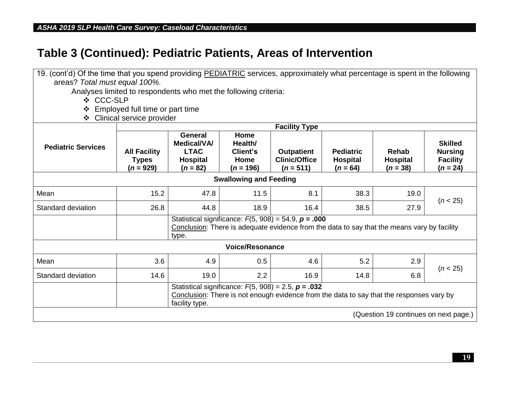| 19. (cont'd) Of the time that you spend providing PEDIATRIC services, approximately what percentage is spent in the following |                                                                                                                                                                        |                                                                                      |                                                           |                                                          |                                                   |                                        |                                                                   |  |  |  |  |
|-------------------------------------------------------------------------------------------------------------------------------|------------------------------------------------------------------------------------------------------------------------------------------------------------------------|--------------------------------------------------------------------------------------|-----------------------------------------------------------|----------------------------------------------------------|---------------------------------------------------|----------------------------------------|-------------------------------------------------------------------|--|--|--|--|
| areas? Total must equal 100%.                                                                                                 |                                                                                                                                                                        |                                                                                      |                                                           |                                                          |                                                   |                                        |                                                                   |  |  |  |  |
| Analyses limited to respondents who met the following criteria:                                                               |                                                                                                                                                                        |                                                                                      |                                                           |                                                          |                                                   |                                        |                                                                   |  |  |  |  |
| ❖ CCC-SLP                                                                                                                     |                                                                                                                                                                        |                                                                                      |                                                           |                                                          |                                                   |                                        |                                                                   |  |  |  |  |
| Employed full time or part time                                                                                               |                                                                                                                                                                        |                                                                                      |                                                           |                                                          |                                                   |                                        |                                                                   |  |  |  |  |
| Clinical service provider<br>❖                                                                                                |                                                                                                                                                                        |                                                                                      |                                                           |                                                          |                                                   |                                        |                                                                   |  |  |  |  |
| <b>Facility Type</b>                                                                                                          |                                                                                                                                                                        |                                                                                      |                                                           |                                                          |                                                   |                                        |                                                                   |  |  |  |  |
| <b>Pediatric Services</b>                                                                                                     | <b>All Facility</b><br><b>Types</b><br>$(n = 929)$                                                                                                                     | <b>General</b><br><b>Medical/VA/</b><br><b>LTAC</b><br><b>Hospital</b><br>$(n = 82)$ | Home<br>Health/<br><b>Client's</b><br>Home<br>$(n = 196)$ | <b>Outpatient</b><br><b>Clinic/Office</b><br>$(n = 511)$ | <b>Pediatric</b><br><b>Hospital</b><br>$(n = 64)$ | Rehab<br><b>Hospital</b><br>$(n = 38)$ | <b>Skilled</b><br><b>Nursing</b><br><b>Facility</b><br>$(n = 24)$ |  |  |  |  |
| <b>Swallowing and Feeding</b>                                                                                                 |                                                                                                                                                                        |                                                                                      |                                                           |                                                          |                                                   |                                        |                                                                   |  |  |  |  |
| Mean                                                                                                                          | 15.2                                                                                                                                                                   | 47.8                                                                                 | 11.5                                                      | 8.1                                                      | 38.3                                              | 19.0                                   | (n < 25)                                                          |  |  |  |  |
| Standard deviation                                                                                                            | 26.8                                                                                                                                                                   | 44.8                                                                                 | 18.9                                                      | 16.4                                                     | 38.5                                              | 27.9                                   |                                                                   |  |  |  |  |
|                                                                                                                               | Statistical significance: $F(5, 908) = 54.9$ , $p = .000$<br>Conclusion: There is adequate evidence from the data to say that the means vary by facility<br>type.      |                                                                                      |                                                           |                                                          |                                                   |                                        |                                                                   |  |  |  |  |
| <b>Voice/Resonance</b>                                                                                                        |                                                                                                                                                                        |                                                                                      |                                                           |                                                          |                                                   |                                        |                                                                   |  |  |  |  |
| Mean                                                                                                                          | 3.6                                                                                                                                                                    | 4.9                                                                                  | 0.5                                                       | 4.6                                                      | 5.2                                               | 2.9                                    | (n < 25)                                                          |  |  |  |  |
| Standard deviation                                                                                                            | 14.6                                                                                                                                                                   | 19.0                                                                                 | 2.2                                                       | 16.9                                                     | 14.8                                              | 6.8                                    |                                                                   |  |  |  |  |
|                                                                                                                               | Statistical significance: $F(5, 908) = 2.5$ , $p = .032$<br>Conclusion: There is not enough evidence from the data to say that the responses vary by<br>facility type. |                                                                                      |                                                           |                                                          |                                                   |                                        |                                                                   |  |  |  |  |
| (Question 19 continues on next page.)                                                                                         |                                                                                                                                                                        |                                                                                      |                                                           |                                                          |                                                   |                                        |                                                                   |  |  |  |  |